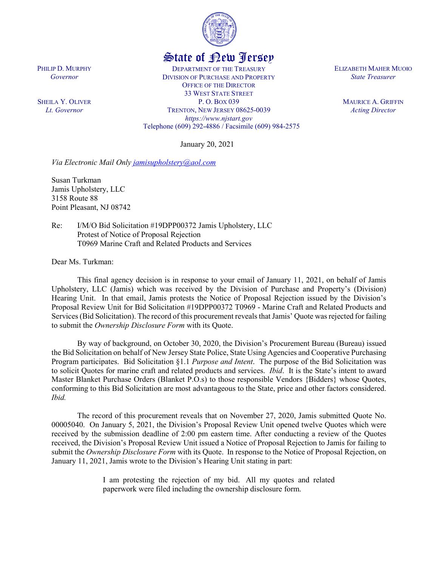

## State of New Jersey

DEPARTMENT OF THE TREASURY DIVISION OF PURCHASE AND PROPERTY OFFICE OF THE DIRECTOR 33 WEST STATE STREET P. O. BOX 039 TRENTON, NEW JERSEY 08625-0039 *https://www.njstart.gov* Telephone (609) 292-4886 / Facsimile (609) 984-2575

January 20, 2021

*Via Electronic Mail Only [jamisupholstery@aol.com](mailto:jamisupholstery@aol.com)*

Susan Turkman Jamis Upholstery, LLC 3158 Route 88 Point Pleasant, NJ 08742

PHILIP D. MURPHY *Governor*

SHEILA Y. OLIVER *Lt. Governor*

> Re: I/M/O Bid Solicitation #19DPP00372 Jamis Upholstery, LLC Protest of Notice of Proposal Rejection T0969 Marine Craft and Related Products and Services

Dear Ms. Turkman:

This final agency decision is in response to your email of January 11, 2021, on behalf of Jamis Upholstery, LLC (Jamis) which was received by the Division of Purchase and Property's (Division) Hearing Unit. In that email, Jamis protests the Notice of Proposal Rejection issued by the Division's Proposal Review Unit for Bid Solicitation #19DPP00372 T0969 - Marine Craft and Related Products and Services (Bid Solicitation). The record of this procurement reveals that Jamis' Quote was rejected for failing to submit the *Ownership Disclosure Form* with its Quote.

By way of background, on October 30, 2020, the Division's Procurement Bureau (Bureau) issued the Bid Solicitation on behalf of New Jersey State Police, State Using Agencies and Cooperative Purchasing Program participates. Bid Solicitation §1.1 *Purpose and Intent*. The purpose of the Bid Solicitation was to solicit Quotes for marine craft and related products and services. *Ibid*. It is the State's intent to award Master Blanket Purchase Orders (Blanket P.O.s) to those responsible Vendors {Bidders} whose Quotes, conforming to this Bid Solicitation are most advantageous to the State, price and other factors considered. *Ibid.* 

The record of this procurement reveals that on November 27, 2020, Jamis submitted Quote No. 00005040. On January 5, 2021, the Division's Proposal Review Unit opened twelve Quotes which were received by the submission deadline of 2:00 pm eastern time. After conducting a review of the Quotes received, the Division's Proposal Review Unit issued a Notice of Proposal Rejection to Jamis for failing to submit the *Ownership Disclosure Form* with its Quote. In response to the Notice of Proposal Rejection, on January 11, 2021, Jamis wrote to the Division's Hearing Unit stating in part:

> I am protesting the rejection of my bid. All my quotes and related paperwork were filed including the ownership disclosure form.

ELIZABETH MAHER MUOIO *State Treasurer*

> MAURICE A. GRIFFIN *Acting Director*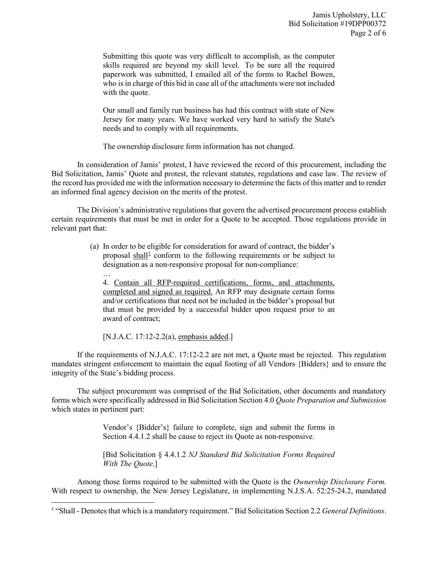Submitting this quote was very difficult to accomplish, as the computer skills required are beyond my skill level. To be sure all the required paperwork was submitted, I emailed all of the forms to Rachel Bowen, who is in charge of this bid in case all of the attachments were not included with the quote.

Our small and family run business has had this contract with state of New Jersey for many years. We have worked very hard to satisfy the State's needs and to comply with all requirements.

The ownership disclosure form information has not changed.

In consideration of Jamis' protest, I have reviewed the record of this procurement, including the Bid Solicitation, Jamis' Quote and protest, the relevant statutes, regulations and case law. The review of the record has provided me with the information necessary to determine the facts of this matter and to render an informed final agency decision on the merits of the protest.

The Division's administrative regulations that govern the advertised procurement process establish certain requirements that must be met in order for a Quote to be accepted. Those regulations provide in relevant part that:

> (a) In order to be eligible for consideration for award of contract, the bidder's proposal shall<sup>[1](#page-1-0)</sup> conform to the following requirements or be subject to designation as a non-responsive proposal for non-compliance:

… 4. Contain all RFP-required certifications, forms, and attachments, completed and signed as required. An RFP may designate certain forms and/or certifications that need not be included in the bidder's proposal but that must be provided by a successful bidder upon request prior to an award of contract;

[N.J.A.C. 17:12-2.2(a), emphasis added.]

If the requirements of N.J.A.C. 17:12-2.2 are not met, a Quote must be rejected. This regulation mandates stringent enforcement to maintain the equal footing of all Vendors {Bidders} and to ensure the integrity of the State's bidding process.

The subject procurement was comprised of the Bid Solicitation, other documents and mandatory forms which were specifically addressed in Bid Solicitation Section 4.0 *Quote Preparation and Submission* which states in pertinent part:

> Vendor's {Bidder's} failure to complete, sign and submit the forms in Section 4.4.1.2 shall be cause to reject its Quote as non-responsive.

> [Bid Solicitation § 4.4.1.2 *NJ Standard Bid Solicitation Forms Required With The Quote*.]

Among those forms required to be submitted with the Quote is the *Ownership Disclosure Form.*  With respect to ownership, the New Jersey Legislature, in implementing N.J.S.A. 52:25-24.2, mandated

<span id="page-1-0"></span>l <sup>1</sup> "Shall - Denotes that which is a mandatory requirement." Bid Solicitation Section 2.2 *General Definitions*.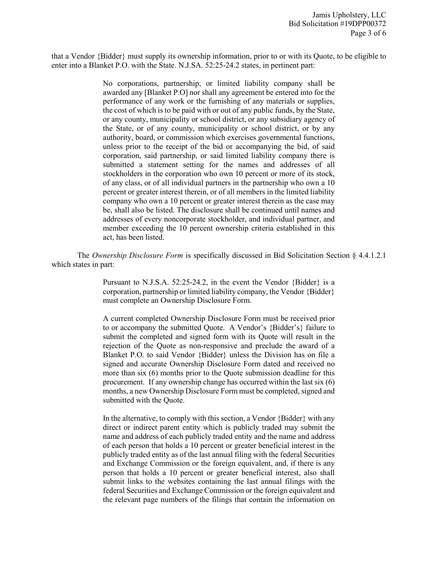that a Vendor {Bidder} must supply its ownership information, prior to or with its Quote, to be eligible to enter into a Blanket P.O. with the State. N.J.SA. 52:25-24.2 states, in pertinent part:

> No corporations, partnership, or limited liability company shall be awarded any [Blanket P.O] nor shall any agreement be entered into for the performance of any work or the furnishing of any materials or supplies, the cost of which is to be paid with or out of any public funds, by the State, or any county, municipality or school district, or any subsidiary agency of the State, or of any county, municipality or school district, or by any authority, board, or commission which exercises governmental functions, unless prior to the receipt of the bid or accompanying the bid, of said corporation, said partnership, or said limited liability company there is submitted a statement setting for the names and addresses of all stockholders in the corporation who own 10 percent or more of its stock, of any class, or of all individual partners in the partnership who own a 10 percent or greater interest therein, or of all members in the limited liability company who own a 10 percent or greater interest therein as the case may be, shall also be listed. The disclosure shall be continued until names and addresses of every noncorporate stockholder, and individual partner, and member exceeding the 10 percent ownership criteria established in this act, has been listed.

The *Ownership Disclosure Form* is specifically discussed in Bid Solicitation Section § 4.4.1.2.1 which states in part:

> Pursuant to N.J.S.A. 52:25-24.2, in the event the Vendor {Bidder} is a corporation, partnership or limited liability company, the Vendor {Bidder} must complete an Ownership Disclosure Form.

> A current completed Ownership Disclosure Form must be received prior to or accompany the submitted Quote. A Vendor's {Bidder's} failure to submit the completed and signed form with its Quote will result in the rejection of the Quote as non-responsive and preclude the award of a Blanket P.O. to said Vendor {Bidder} unless the Division has on file a signed and accurate Ownership Disclosure Form dated and received no more than six (6) months prior to the Quote submission deadline for this procurement. If any ownership change has occurred within the last six (6) months, a new Ownership Disclosure Form must be completed, signed and submitted with the Quote.

> In the alternative, to comply with this section, a Vendor {Bidder} with any direct or indirect parent entity which is publicly traded may submit the name and address of each publicly traded entity and the name and address of each person that holds a 10 percent or greater beneficial interest in the publicly traded entity as of the last annual filing with the federal Securities and Exchange Commission or the foreign equivalent, and, if there is any person that holds a 10 percent or greater beneficial interest, also shall submit links to the websites containing the last annual filings with the federal Securities and Exchange Commission or the foreign equivalent and the relevant page numbers of the filings that contain the information on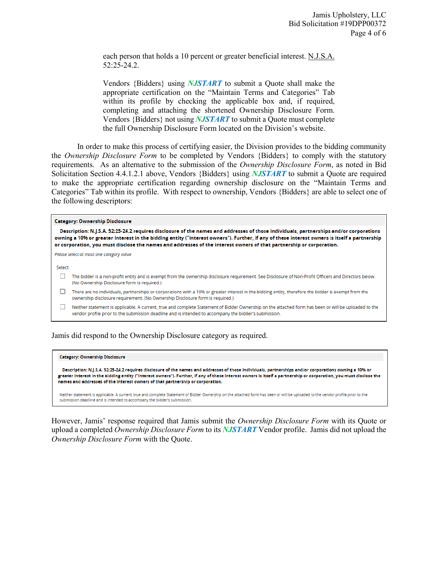each person that holds a 10 percent or greater beneficial interest. N.J.S.A. 52:25-24.2.

Vendors {Bidders} using *NJSTART* to submit a Quote shall make the appropriate certification on the "Maintain Terms and Categories" Tab within its profile by checking the applicable box and, if required, completing and attaching the shortened Ownership Disclosure Form. Vendors {Bidders} not using *NJSTART* to submit a Quote must complete the full Ownership Disclosure Form located on the Division's website.

In order to make this process of certifying easier, the Division provides to the bidding community the *Ownership Disclosure Form* to be completed by Vendors {Bidders} to comply with the statutory requirements. As an alternative to the submission of the *Ownership Disclosure Form*, as noted in Bid Solicitation Section 4.4.1.2.1 above, Vendors {Bidders} using *NJSTART* to submit a Quote are required to make the appropriate certification regarding ownership disclosure on the "Maintain Terms and Categories" Tab within its profile. With respect to ownership, Vendors {Bidders} are able to select one of the following descriptors:

## **Category: Ownership Disclosure**

Description: N.J.S.A. 52:25-24.2 requires disclosure of the names and addresses of those individuals, partnerships and/or corporations owning a 10% or greater interest in the bidding entity ("interest owners"). Further, if any of these interest owners is itself a partnership or corporation, you must disclose the names and addresses of the interest owners of that partnership or corporation.

Please select at most one category value

Select

- The bidder is a non-profit entity and is exempt from the ownership disclosure requirement. See Disclosure of Non-Profit Officers and Directors below. (No Ownership Disclosure form is required.)
- There are no individuals, partnerships or corporations with a 10% or greater interest in the bidding entity, therefore the bidder is exempt from the ownership disclosure requirement. (No Ownership Disclosure form is required.)

□ Neither statement is applicable. A current, true and complete Statement of Bidder Ownership on the attached form has been or will be uploaded to the vendor profile prior to the submission deadline and is intended to accompany the bidder's submission.

Jamis did respond to the Ownership Disclosure category as required.

## **Category: Ownership Disclosure**

Description: N.J.S.A. 52:25-24.2 requires disclosure of the names and addresses of those individuals, partnerships and/or corporations owning a 10% or greater interest in the bidding entity ("interest owners"). Further, if any of these interest owners is itself a partnership or corporation, you must disclose the names and addresses of the interest owners of that partnership or corporation.

Neither statement is applicable. A current, true and complete Statement of Bidder Ownership on the attached form has been or will be uploaded to the vendor profile prior to the submission deadline and is intended to accompany the bidder's submission

However, Jamis' response required that Jamis submit the *Ownership Disclosure Form* with its Quote or upload a completed *Ownership Disclosure Form* to its *NJSTART* Vendor profile. Jamis did not upload the *Ownership Disclosure Form* with the Quote.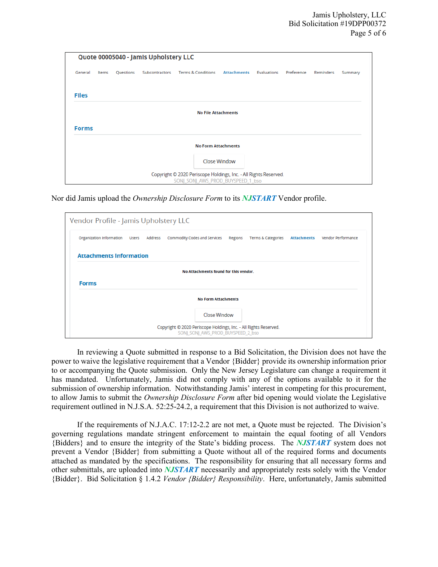|              |       |           | Quote 00005040 - Jamis Upholstery LLC |                                                                                                       |                    |             |            |           |         |
|--------------|-------|-----------|---------------------------------------|-------------------------------------------------------------------------------------------------------|--------------------|-------------|------------|-----------|---------|
| General      | Items | Questions | Subcontractors                        | <b>Terms &amp; Conditions</b>                                                                         | <b>Attachments</b> | Evaluations | Preference | Reminders | Summary |
| <b>Files</b> |       |           |                                       |                                                                                                       |                    |             |            |           |         |
|              |       |           |                                       | <b>No File Attachments</b>                                                                            |                    |             |            |           |         |
| <b>Forms</b> |       |           |                                       |                                                                                                       |                    |             |            |           |         |
|              |       |           |                                       | <b>No Form Attachments</b>                                                                            |                    |             |            |           |         |
|              |       |           |                                       |                                                                                                       | Close Window       |             |            |           |         |
|              |       |           |                                       | Copyright © 2020 Periscope Holdings, Inc. - All Rights Reserved.<br>SONJ_SONJ_AWS_PROD_BUYSPEED_1_bso |                    |             |            |           |         |

Nor did Jamis upload the *Ownership Disclosure Form* to its *NJSTART* Vendor profile.

In reviewing a Quote submitted in response to a Bid Solicitation, the Division does not have the power to waive the legislative requirement that a Vendor {Bidder} provide its ownership information prior to or accompanying the Quote submission. Only the New Jersey Legislature can change a requirement it has mandated. Unfortunately, Jamis did not comply with any of the options available to it for the submission of ownership information. Notwithstanding Jamis' interest in competing for this procurement, to allow Jamis to submit the *Ownership Disclosure Form* after bid opening would violate the Legislative requirement outlined in N.J.S.A. 52:25-24.2, a requirement that this Division is not authorized to waive.

If the requirements of N.J.A.C. 17:12-2.2 are not met, a Quote must be rejected. The Division's governing regulations mandate stringent enforcement to maintain the equal footing of all Vendors {Bidders} and to ensure the integrity of the State's bidding process. The *NJSTART* system does not prevent a Vendor {Bidder} from submitting a Quote without all of the required forms and documents attached as mandated by the specifications. The responsibility for ensuring that all necessary forms and other submittals, are uploaded into *NJSTART* necessarily and appropriately rests solely with the Vendor {Bidder}. Bid Solicitation § 1.4.2 *Vendor {Bidder} Responsibility*. Here, unfortunately, Jamis submitted